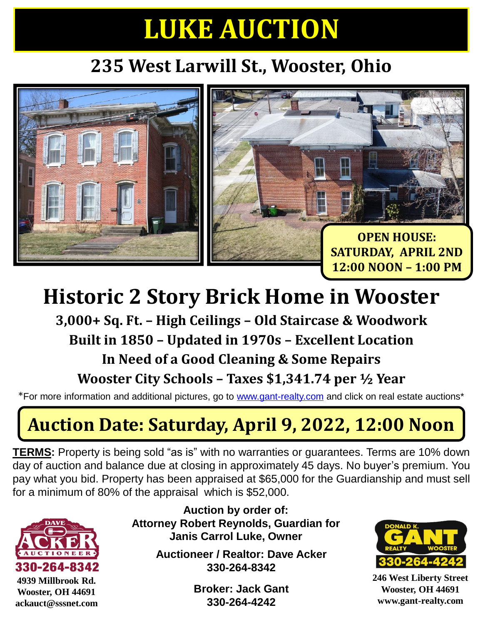# **LUKE AUCTION**

### **235 West Larwill St., Wooster, Ohio**



## **Historic 2 Story Brick Home in Wooster**

**3,000+ Sq. Ft. – High Ceilings – Old Staircase & Woodwork Built in 1850 – Updated in 1970s – Excellent Location In Need of a Good Cleaning & Some Repairs Wooster City Schools – Taxes \$1,341.74 per ½ Year**

\*For more information and additional pictures, go to [www.gant-realty.com](http://www.gant-realty.com/) and click on real estate auctions\*

### **Auction Date: Saturday, April 9, 2022, 12:00 Noon**

**TERMS:** Property is being sold "as is" with no warranties or guarantees. Terms are 10% down day of auction and balance due at closing in approximately 45 days. No buyer's premium. You pay what you bid. Property has been appraised at \$65,000 for the Guardianship and must sell for a minimum of 80% of the appraisal which is \$52,000.



**Auction by order of: Attorney Robert Reynolds, Guardian for Janis Carrol Luke, Owner**

> **Auctioneer / Realtor: Dave Acker 330-264-8342**

> > **Broker: Jack Gant 330-264-4242**



**246 West Liberty Street Wooster, OH 44691 www.gant-realty.com**